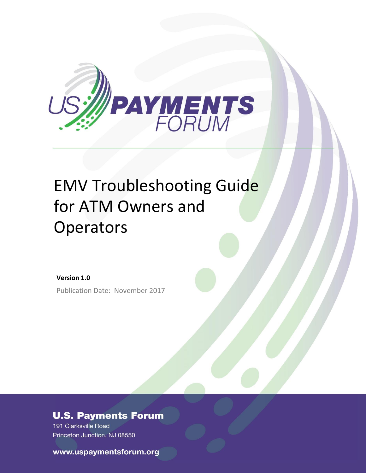

# EMV Troubleshooting Guide for ATM Owners and **Operators**

**Version 1.0** Publication Date: November 2017

## **U.S. Payments Forum**

191 Clarksville Road Princeton Junction, NJ 08550

www.uspaymentsforum.org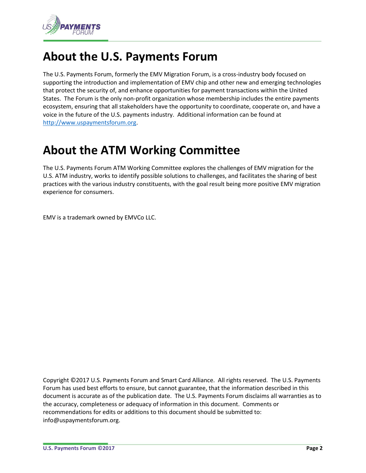

# **About the U.S. Payments Forum**

The U.S. Payments Forum, formerly the EMV Migration Forum, is a cross-industry body focused on supporting the introduction and implementation of EMV chip and other new and emerging technologies that protect the security of, and enhance opportunities for payment transactions within the United States. The Forum is the only non-profit organization whose membership includes the entire payments ecosystem, ensuring that all stakeholders have the opportunity to coordinate, cooperate on, and have a voice in the future of the U.S. payments industry. Additional information can be found at [http://www.uspaymentsforum.org.](http://www.uspaymentsforum.org/)

# **About the ATM Working Committee**

The U.S. Payments Forum ATM Working Committee explores the challenges of EMV migration for the U.S. ATM industry, works to identify possible solutions to challenges, and facilitates the sharing of best practices with the various industry constituents, with the goal result being more positive EMV migration experience for consumers.

EMV is a trademark owned by EMVCo LLC.

Copyright ©2017 U.S. Payments Forum and Smart Card Alliance. All rights reserved. The U.S. Payments Forum has used best efforts to ensure, but cannot guarantee, that the information described in this document is accurate as of the publication date. The U.S. Payments Forum disclaims all warranties as to the accuracy, completeness or adequacy of information in this document. Comments or recommendations for edits or additions to this document should be submitted to: info@uspaymentsforum.org.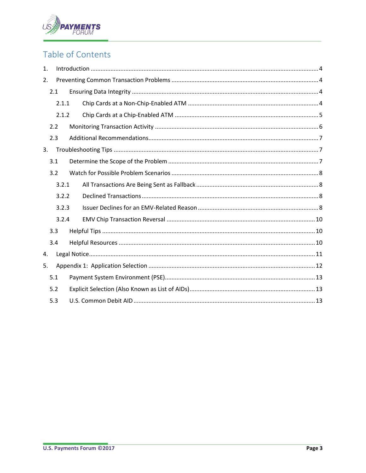

# Table of Contents

| $\mathbf{1}$ . |       |       |  |  |
|----------------|-------|-------|--|--|
| 2.             |       |       |  |  |
|                | 2.1   |       |  |  |
|                | 2.1.1 |       |  |  |
|                |       | 2.1.2 |  |  |
| 2.2            |       |       |  |  |
|                | 2.3   |       |  |  |
| 3.             |       |       |  |  |
|                | 3.1   |       |  |  |
|                |       | 3.2   |  |  |
|                |       | 3.2.1 |  |  |
|                |       | 3.2.2 |  |  |
|                |       | 3.2.3 |  |  |
|                |       | 3.2.4 |  |  |
|                | 3.3   |       |  |  |
|                | 3.4   |       |  |  |
| 4.             |       |       |  |  |
| 5.             |       |       |  |  |
|                | 5.1   |       |  |  |
|                | 5.2   |       |  |  |
|                | 5.3   |       |  |  |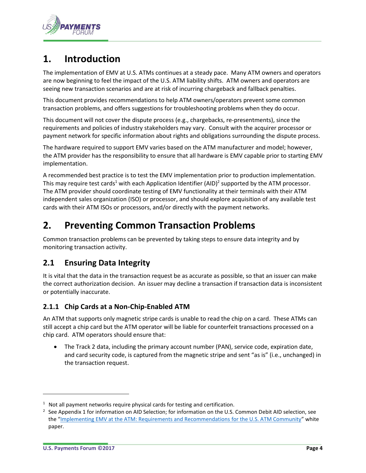

# <span id="page-3-0"></span>**1. Introduction**

The implementation of EMV at U.S. ATMs continues at a steady pace. Many ATM owners and operators are now beginning to feel the impact of the U.S. ATM liability shifts. ATM owners and operators are seeing new transaction scenarios and are at risk of incurring chargeback and fallback penalties.

This document provides recommendations to help ATM owners/operators prevent some common transaction problems, and offers suggestions for troubleshooting problems when they do occur.

This document will not cover the dispute process (e.g., chargebacks, re-presentments), since the requirements and policies of industry stakeholders may vary. Consult with the acquirer processor or payment network for specific information about rights and obligations surrounding the dispute process.

The hardware required to support EMV varies based on the ATM manufacturer and model; however, the ATM provider has the responsibility to ensure that all hardware is EMV capable prior to starting EMV implementation.

A recommended best practice is to test the EMV implementation prior to production implementation. This may require test cards<sup>1</sup> with each Application Identifier (AID)<sup>2</sup> supported by the ATM processor. The ATM provider should coordinate testing of EMV functionality at their terminals with their ATM independent sales organization (ISO) or processor, and should explore acquisition of any available test cards with their ATM ISOs or processors, and/or directly with the payment networks.

# <span id="page-3-1"></span>**2. Preventing Common Transaction Problems**

Common transaction problems can be prevented by taking steps to ensure data integrity and by monitoring transaction activity.

## <span id="page-3-2"></span>**2.1 Ensuring Data Integrity**

It is vital that the data in the transaction request be as accurate as possible, so that an issuer can make the correct authorization decision. An issuer may decline a transaction if transaction data is inconsistent or potentially inaccurate.

#### <span id="page-3-3"></span>**2.1.1 Chip Cards at a Non-Chip-Enabled ATM**

An ATM that supports only magnetic stripe cards is unable to read the chip on a card. These ATMs can still accept a chip card but the ATM operator will be liable for counterfeit transactions processed on a chip card. ATM operators should ensure that:

• The Track 2 data, including the primary account number (PAN), service code, expiration date, and card security code, is captured from the magnetic stripe and sent "as is" (i.e., unchanged) in the transaction request.

l

 $1$  Not all payment networks require physical cards for testing and certification.

<sup>2</sup> See Appendix 1 for information on AID Selection; for information on the U.S. Common Debit AID selection, see the "[Implementing EMV at the ATM: Requirements and Recommendations for the U.S. ATM Community](http://www.uspaymentsforum.org/emv-migration-forum-releases-comprehensive-guide-for-implementing-emv-chip-technology-at-the-atm/)" white paper.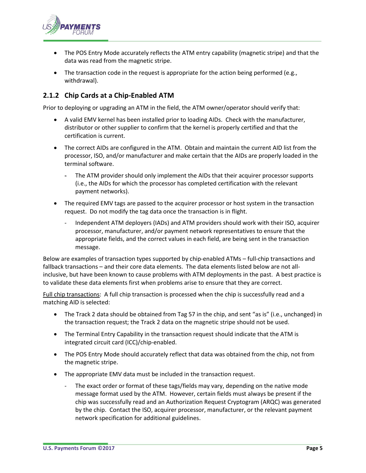

- The POS Entry Mode accurately reflects the ATM entry capability (magnetic stripe) and that the data was read from the magnetic stripe.
- The transaction code in the request is appropriate for the action being performed (e.g., withdrawal).

#### <span id="page-4-0"></span>**2.1.2 Chip Cards at a Chip-Enabled ATM**

Prior to deploying or upgrading an ATM in the field, the ATM owner/operator should verify that:

- A valid EMV kernel has been installed prior to loading AIDs. Check with the manufacturer, distributor or other supplier to confirm that the kernel is properly certified and that the certification is current.
- The correct AIDs are configured in the ATM. Obtain and maintain the current AID list from the processor, ISO, and/or manufacturer and make certain that the AIDs are properly loaded in the terminal software.
	- The ATM provider should only implement the AIDs that their acquirer processor supports (i.e., the AIDs for which the processor has completed certification with the relevant payment networks).
- The required EMV tags are passed to the acquirer processor or host system in the transaction request. Do not modify the tag data once the transaction is in flight.
	- Independent ATM deployers (IADs) and ATM providers should work with their ISO, acquirer processor, manufacturer, and/or payment network representatives to ensure that the appropriate fields, and the correct values in each field, are being sent in the transaction message.

Below are examples of transaction types supported by chip-enabled ATMs – full-chip transactions and fallback transactions – and their core data elements. The data elements listed below are not allinclusive, but have been known to cause problems with ATM deployments in the past. A best practice is to validate these data elements first when problems arise to ensure that they are correct.

Full chip transactions: A full chip transaction is processed when the chip is successfully read and a matching AID is selected:

- The Track 2 data should be obtained from Tag 57 in the chip, and sent "as is" (i.e., unchanged) in the transaction request; the Track 2 data on the magnetic stripe should not be used.
- The Terminal Entry Capability in the transaction request should indicate that the ATM is integrated circuit card (ICC)/chip-enabled.
- The POS Entry Mode should accurately reflect that data was obtained from the chip, not from the magnetic stripe.
- The appropriate EMV data must be included in the transaction request.
	- The exact order or format of these tags/fields may vary, depending on the native mode message format used by the ATM. However, certain fields must always be present if the chip was successfully read and an Authorization Request Cryptogram (ARQC) was generated by the chip. Contact the ISO, acquirer processor, manufacturer, or the relevant payment network specification for additional guidelines.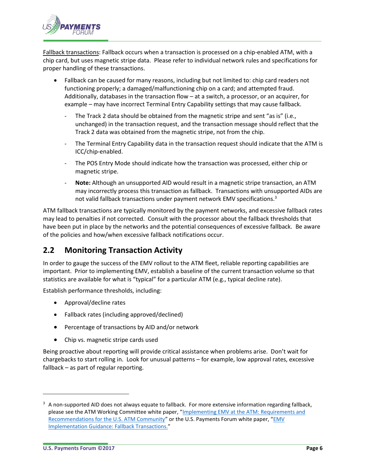

Fallback transactions: Fallback occurs when a transaction is processed on a chip-enabled ATM, with a chip card, but uses magnetic stripe data. Please refer to individual network rules and specifications for proper handling of these transactions.

- Fallback can be caused for many reasons, including but not limited to: chip card readers not functioning properly; a damaged/malfunctioning chip on a card; and attempted fraud. Additionally, databases in the transaction flow – at a switch, a processor, or an acquirer, for example – may have incorrect Terminal Entry Capability settings that may cause fallback.
	- The Track 2 data should be obtained from the magnetic stripe and sent "as is" (i.e., unchanged) in the transaction request, and the transaction message should reflect that the Track 2 data was obtained from the magnetic stripe, not from the chip.
	- The Terminal Entry Capability data in the transaction request should indicate that the ATM is ICC/chip-enabled.
	- The POS Entry Mode should indicate how the transaction was processed, either chip or magnetic stripe.
	- **Note:** Although an unsupported AID would result in a magnetic stripe transaction, an ATM may incorrectly process this transaction as fallback. Transactions with unsupported AIDs are not valid fallback transactions under payment network EMV specifications.<sup>3</sup>

ATM fallback transactions are typically monitored by the payment networks, and excessive fallback rates may lead to penalties if not corrected. Consult with the processor about the fallback thresholds that have been put in place by the networks and the potential consequences of excessive fallback. Be aware of the policies and how/when excessive fallback notifications occur.

## <span id="page-5-0"></span>**2.2 Monitoring Transaction Activity**

In order to gauge the success of the EMV rollout to the ATM fleet, reliable reporting capabilities are important. Prior to implementing EMV, establish a baseline of the current transaction volume so that statistics are available for what is "typical" for a particular ATM (e.g., typical decline rate).

Establish performance thresholds, including:

- Approval/decline rates
- Fallback rates (including approved/declined)
- Percentage of transactions by AID and/or network
- Chip vs. magnetic stripe cards used

Being proactive about reporting will provide critical assistance when problems arise. Don't wait for chargebacks to start rolling in. Look for unusual patterns – for example, low approval rates, excessive fallback – as part of regular reporting.

l

 $3$  A non-supported AID does not always equate to fallback. For more extensive information regarding fallback, please see the ATM Working Committee white paper, "Implementing EMV at the ATM: Requirements and [Recommendations for the U.S. ATM Community](http://www.uspaymentsforum.org/emv-migration-forum-releases-comprehensive-guide-for-implementing-emv-chip-technology-at-the-atm/)" or the U.S. Payments Forum white paper, "EMV [Implementation Guidance: Fallback Transactions.](http://www.uspaymentsforum.org/emv-implementation-guidance-fallback-transactions/)"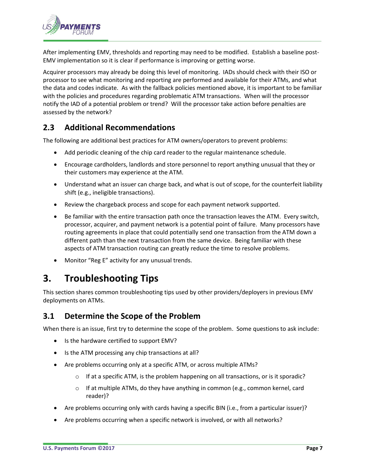

After implementing EMV, thresholds and reporting may need to be modified. Establish a baseline post-EMV implementation so it is clear if performance is improving or getting worse.

Acquirer processors may already be doing this level of monitoring. IADs should check with their ISO or processor to see what monitoring and reporting are performed and available for their ATMs, and what the data and codes indicate. As with the fallback policies mentioned above, it is important to be familiar with the policies and procedures regarding problematic ATM transactions. When will the processor notify the IAD of a potential problem or trend? Will the processor take action before penalties are assessed by the network?

## <span id="page-6-0"></span>**2.3 Additional Recommendations**

The following are additional best practices for ATM owners/operators to prevent problems:

- Add periodic cleaning of the chip card reader to the regular maintenance schedule.
- Encourage cardholders, landlords and store personnel to report anything unusual that they or their customers may experience at the ATM.
- Understand what an issuer can charge back, and what is out of scope, for the counterfeit liability shift (e.g., ineligible transactions).
- Review the chargeback process and scope for each payment network supported.
- Be familiar with the entire transaction path once the transaction leaves the ATM. Every switch, processor, acquirer, and payment network is a potential point of failure. Many processors have routing agreements in place that could potentially send one transaction from the ATM down a different path than the next transaction from the same device. Being familiar with these aspects of ATM transaction routing can greatly reduce the time to resolve problems.
- Monitor "Reg E" activity for any unusual trends.

# <span id="page-6-1"></span>**3. Troubleshooting Tips**

This section shares common troubleshooting tips used by other providers/deployers in previous EMV deployments on ATMs.

#### <span id="page-6-2"></span>**3.1 Determine the Scope of the Problem**

When there is an issue, first try to determine the scope of the problem. Some questions to ask include:

- Is the hardware certified to support EMV?
- Is the ATM processing any chip transactions at all?
- Are problems occurring only at a specific ATM, or across multiple ATMs?
	- $\circ$  If at a specific ATM, is the problem happening on all transactions, or is it sporadic?
	- $\circ$  If at multiple ATMs, do they have anything in common (e.g., common kernel, card reader)?
- Are problems occurring only with cards having a specific BIN (i.e., from a particular issuer)?
- Are problems occurring when a specific network is involved, or with all networks?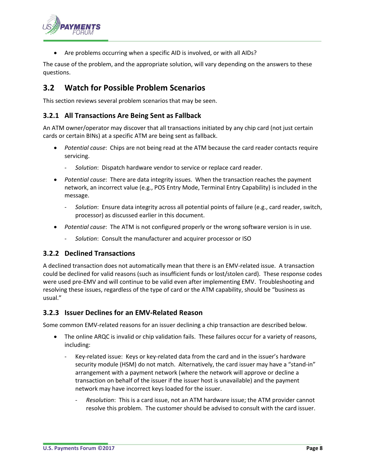

Are problems occurring when a specific AID is involved, or with all AIDs?

The cause of the problem, and the appropriate solution, will vary depending on the answers to these questions.

## <span id="page-7-0"></span>**3.2 Watch for Possible Problem Scenarios**

This section reviews several problem scenarios that may be seen.

#### <span id="page-7-1"></span>**3.2.1 All Transactions Are Being Sent as Fallback**

An ATM owner/operator may discover that all transactions initiated by any chip card (not just certain cards or certain BINs) at a specific ATM are being sent as fallback.

- *Potential cause*: Chips are not being read at the ATM because the card reader contacts require servicing.
	- *Solution*: Dispatch hardware vendor to service or replace card reader.
- *Potential cause*: There are data integrity issues. When the transaction reaches the payment network, an incorrect value (e.g., POS Entry Mode, Terminal Entry Capability) is included in the message.
	- *Solution*: Ensure data integrity across all potential points of failure (e.g., card reader, switch, processor) as discussed earlier in this document.
- *Potential cause*: The ATM is not configured properly or the wrong software version is in use.
	- *Solution*: Consult the manufacturer and acquirer processor or ISO

#### <span id="page-7-2"></span>**3.2.2 Declined Transactions**

A declined transaction does not automatically mean that there is an EMV-related issue. A transaction could be declined for valid reasons (such as insufficient funds or lost/stolen card). These response codes were used pre-EMV and will continue to be valid even after implementing EMV. Troubleshooting and resolving these issues, regardless of the type of card or the ATM capability, should be "business as usual."

#### <span id="page-7-3"></span>**3.2.3 Issuer Declines for an EMV-Related Reason**

Some common EMV-related reasons for an issuer declining a chip transaction are described below.

- The online ARQC is invalid or chip validation fails. These failures occur for a variety of reasons, including:
	- Key-related issue: Keys or key-related data from the card and in the issuer's hardware security module (HSM) do not match. Alternatively, the card issuer may have a "stand-in" arrangement with a payment network (where the network will approve or decline a transaction on behalf of the issuer if the issuer host is unavailable) and the payment network may have incorrect keys loaded for the issuer.
		- *Resolution*: This is a card issue, not an ATM hardware issue; the ATM provider cannot resolve this problem. The customer should be advised to consult with the card issuer.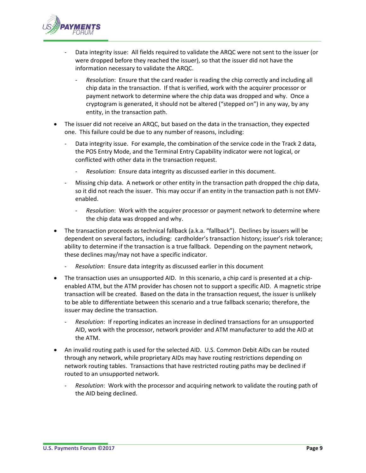

- Data integrity issue: All fields required to validate the ARQC were not sent to the issuer (or were dropped before they reached the issuer), so that the issuer did not have the information necessary to validate the ARQC.
	- *Resolution*: Ensure that the card reader is reading the chip correctly and including all chip data in the transaction. If that is verified, work with the acquirer processor or payment network to determine where the chip data was dropped and why. Once a cryptogram is generated, it should not be altered ("stepped on") in any way, by any entity, in the transaction path.
- The issuer did not receive an ARQC, but based on the data in the transaction, they expected one. This failure could be due to any number of reasons, including:
	- Data integrity issue. For example, the combination of the service code in the Track 2 data, the POS Entry Mode, and the Terminal Entry Capability indicator were not logical, or conflicted with other data in the transaction request.
		- *Resolution*: Ensure data integrity as discussed earlier in this document.
	- Missing chip data. A network or other entity in the transaction path dropped the chip data, so it did not reach the issuer. This may occur if an entity in the transaction path is not EMVenabled.
		- *Resolution*: Work with the acquirer processor or payment network to determine where the chip data was dropped and why.
- The transaction proceeds as technical fallback (a.k.a. "fallback"). Declines by issuers will be dependent on several factors, including: cardholder's transaction history; issuer's risk tolerance; ability to determine if the transaction is a true fallback. Depending on the payment network, these declines may/may not have a specific indicator.
	- *Resolution*: Ensure data integrity as discussed earlier in this document
- The transaction uses an unsupported AID. In this scenario, a chip card is presented at a chipenabled ATM, but the ATM provider has chosen not to support a specific AID. A magnetic stripe transaction will be created. Based on the data in the transaction request, the issuer is unlikely to be able to differentiate between this scenario and a true fallback scenario; therefore, the issuer may decline the transaction.
	- *Resolution*: If reporting indicates an increase in declined transactions for an unsupported AID, work with the processor, network provider and ATM manufacturer to add the AID at the ATM.
- An invalid routing path is used for the selected AID. U.S. Common Debit AIDs can be routed through any network, while proprietary AIDs may have routing restrictions depending on network routing tables. Transactions that have restricted routing paths may be declined if routed to an unsupported network.
	- *Resolution*: Work with the processor and acquiring network to validate the routing path of the AID being declined.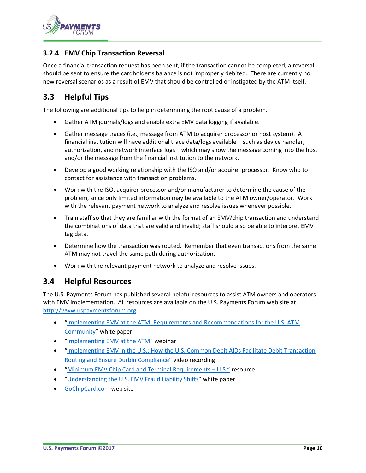

#### <span id="page-9-0"></span>**3.2.4 EMV Chip Transaction Reversal**

Once a financial transaction request has been sent, if the transaction cannot be completed, a reversal should be sent to ensure the cardholder's balance is not improperly debited. There are currently no new reversal scenarios as a result of EMV that should be controlled or instigated by the ATM itself.

#### <span id="page-9-1"></span>**3.3 Helpful Tips**

The following are additional tips to help in determining the root cause of a problem.

- Gather ATM journals/logs and enable extra EMV data logging if available.
- Gather message traces (i.e., message from ATM to acquirer processor or host system). A financial institution will have additional trace data/logs available – such as device handler, authorization, and network interface logs – which may show the message coming into the host and/or the message from the financial institution to the network.
- Develop a good working relationship with the ISO and/or acquirer processor. Know who to contact for assistance with transaction problems.
- Work with the ISO, acquirer processor and/or manufacturer to determine the cause of the problem, since only limited information may be available to the ATM owner/operator. Work with the relevant payment network to analyze and resolve issues whenever possible.
- Train staff so that they are familiar with the format of an EMV/chip transaction and understand the combinations of data that are valid and invalid; staff should also be able to interpret EMV tag data.
- Determine how the transaction was routed. Remember that even transactions from the same ATM may not travel the same path during authorization.
- Work with the relevant payment network to analyze and resolve issues.

#### <span id="page-9-2"></span>**3.4 Helpful Resources**

The U.S. Payments Forum has published several helpful resources to assist ATM owners and operators with EMV implementation. All resources are available on the U.S. Payments Forum web site at [http://www.uspaymentsforum.org](http://www.uspaymentsforum.org/)

- "[Implementing EMV at the ATM: Requirements and Recommendations for the U.S. ATM](http://www.emv-connection.com/implementing-emv-at-the-atm-requirements-and-recommendations-for-the-u-s-atm-community/)  [Community](http://www.emv-connection.com/implementing-emv-at-the-atm-requirements-and-recommendations-for-the-u-s-atm-community/)" white paper
- "[Implementing EMV at the ATM](http://www.emv-connection.com/implementing-emv-at-the-atm-webinar/)" webinar
- "[Implementing EMV in the U.S.: How the U.S. Common Debit AIDs Facilitate Debit Transaction](http://www.emv-connection.com/implementing-emv-in-the-u-s-how-the-u-s-common-debit-aids-facilitate-debit-transaction-routing-and-ensure-durbin-compliance/)  [Routing and Ensure Durbin Compliance](http://www.emv-connection.com/implementing-emv-in-the-u-s-how-the-u-s-common-debit-aids-facilitate-debit-transaction-routing-and-ensure-durbin-compliance/)" video recording
- "[Minimum EMV Chip Card and Terminal Requirements](http://www.emv-connection.com/minimum-emv-chip-card-and-terminal-requirements-u-s/)  U.S." resource
- "[Understanding the U.S. EMV Fraud Liability Shifts](http://www.emv-connection.com/understanding-the-u-s-emv-fraud-liability-shifts/)" white paper
- [GoChipCard.com](http://www.gochipcard.com/) web site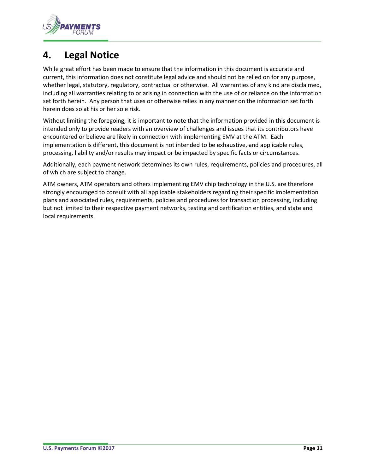

## <span id="page-10-0"></span>**4. Legal Notice**

While great effort has been made to ensure that the information in this document is accurate and current, this information does not constitute legal advice and should not be relied on for any purpose, whether legal, statutory, regulatory, contractual or otherwise. All warranties of any kind are disclaimed, including all warranties relating to or arising in connection with the use of or reliance on the information set forth herein. Any person that uses or otherwise relies in any manner on the information set forth herein does so at his or her sole risk.

Without limiting the foregoing, it is important to note that the information provided in this document is intended only to provide readers with an overview of challenges and issues that its contributors have encountered or believe are likely in connection with implementing EMV at the ATM. Each implementation is different, this document is not intended to be exhaustive, and applicable rules, processing, liability and/or results may impact or be impacted by specific facts or circumstances.

Additionally, each payment network determines its own rules, requirements, policies and procedures, all of which are subject to change.

ATM owners, ATM operators and others implementing EMV chip technology in the U.S. are therefore strongly encouraged to consult with all applicable stakeholders regarding their specific implementation plans and associated rules, requirements, policies and procedures for transaction processing, including but not limited to their respective payment networks, testing and certification entities, and state and local requirements.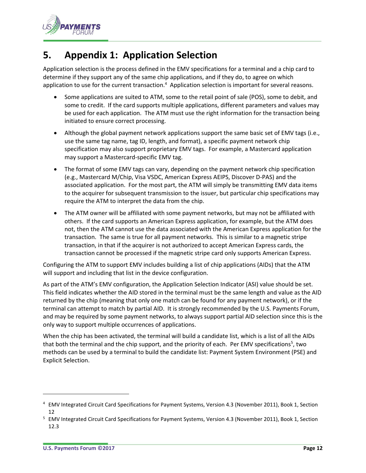

# <span id="page-11-0"></span>**5. Appendix 1: Application Selection**

Application selection is the process defined in the EMV specifications for a terminal and a chip card to determine if they support any of the same chip applications, and if they do, to agree on which application to use for the current transaction.<sup>4</sup> Application selection is important for several reasons.

- Some applications are suited to ATM, some to the retail point of sale (POS), some to debit, and some to credit. If the card supports multiple applications, different parameters and values may be used for each application. The ATM must use the right information for the transaction being initiated to ensure correct processing.
- Although the global payment network applications support the same basic set of EMV tags (i.e., use the same tag name, tag ID, length, and format), a specific payment network chip specification may also support proprietary EMV tags. For example, a Mastercard application may support a Mastercard-specific EMV tag.
- The format of some EMV tags can vary, depending on the payment network chip specification (e.g., Mastercard M/Chip, Visa VSDC, American Express AEIPS, Discover D-PAS) and the associated application. For the most part, the ATM will simply be transmitting EMV data items to the acquirer for subsequent transmission to the issuer, but particular chip specifications may require the ATM to interpret the data from the chip.
- The ATM owner will be affiliated with some payment networks, but may not be affiliated with others. If the card supports an American Express application, for example, but the ATM does not, then the ATM cannot use the data associated with the American Express application for the transaction. The same is true for all payment networks. This is similar to a magnetic stripe transaction, in that if the acquirer is not authorized to accept American Express cards, the transaction cannot be processed if the magnetic stripe card only supports American Express.

Configuring the ATM to support EMV includes building a list of chip applications (AIDs) that the ATM will support and including that list in the device configuration.

As part of the ATM's EMV configuration, the Application Selection Indicator (ASI) value should be set. This field indicates whether the AID stored in the terminal must be the same length and value as the AID returned by the chip (meaning that only one match can be found for any payment network), or if the terminal can attempt to match by partial AID. It is strongly recommended by the U.S. Payments Forum, and may be required by some payment networks, to always support partial AID selection since this is the only way to support multiple occurrences of applications.

When the chip has been activated, the terminal will build a candidate list, which is a list of all the AIDs that both the terminal and the chip support, and the priority of each. Per EMV specifications<sup>5</sup>, two methods can be used by a terminal to build the candidate list: Payment System Environment (PSE) and Explicit Selection.

l

<sup>4</sup> EMV Integrated Circuit Card Specifications for Payment Systems, Version 4.3 (November 2011), Book 1, Section 12

<sup>&</sup>lt;sup>5</sup> EMV Integrated Circuit Card Specifications for Payment Systems, Version 4.3 (November 2011), Book 1, Section 12.3